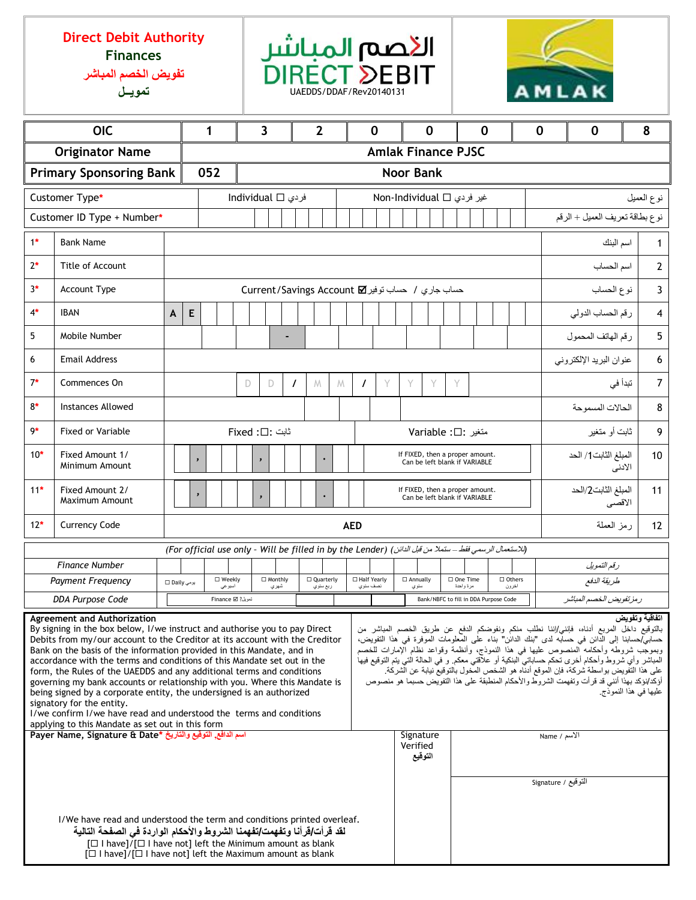## **Direct Debit Authority Finances**

**تفويض الخصم المباشر**





| <b>OIC</b>                                                                                                                                                                                                                                                                                                                                                                                                                                                                                                                                                                                                                                                                                                                                                                                                                                                                                                                                                                                                                                                                                                                                                                                                                                                                                                          |                                                                                                                                                                                                                                                                                                                  |  |                                                  | 1                   |     |                                                |                          | 3 |   |          | $\overline{2}$ |                                  |   | $\mathbf 0$             |                                                                  | $\mathbf 0$ |                                                                  | $\mathbf 0$               |                |                             |       | $\mathbf 0$                   |                            | $\mathbf 0$ |                                | 8                    |         |                 |
|---------------------------------------------------------------------------------------------------------------------------------------------------------------------------------------------------------------------------------------------------------------------------------------------------------------------------------------------------------------------------------------------------------------------------------------------------------------------------------------------------------------------------------------------------------------------------------------------------------------------------------------------------------------------------------------------------------------------------------------------------------------------------------------------------------------------------------------------------------------------------------------------------------------------------------------------------------------------------------------------------------------------------------------------------------------------------------------------------------------------------------------------------------------------------------------------------------------------------------------------------------------------------------------------------------------------|------------------------------------------------------------------------------------------------------------------------------------------------------------------------------------------------------------------------------------------------------------------------------------------------------------------|--|--------------------------------------------------|---------------------|-----|------------------------------------------------|--------------------------|---|---|----------|----------------|----------------------------------|---|-------------------------|------------------------------------------------------------------|-------------|------------------------------------------------------------------|---------------------------|----------------|-----------------------------|-------|-------------------------------|----------------------------|-------------|--------------------------------|----------------------|---------|-----------------|
| <b>Originator Name</b>                                                                                                                                                                                                                                                                                                                                                                                                                                                                                                                                                                                                                                                                                                                                                                                                                                                                                                                                                                                                                                                                                                                                                                                                                                                                                              |                                                                                                                                                                                                                                                                                                                  |  |                                                  |                     |     |                                                |                          |   |   |          |                |                                  |   |                         |                                                                  |             |                                                                  | <b>Amlak Finance PJSC</b> |                |                             |       |                               |                            |             |                                |                      |         |                 |
| <b>Primary Sponsoring Bank</b>                                                                                                                                                                                                                                                                                                                                                                                                                                                                                                                                                                                                                                                                                                                                                                                                                                                                                                                                                                                                                                                                                                                                                                                                                                                                                      |                                                                                                                                                                                                                                                                                                                  |  |                                                  |                     | 052 | <b>Noor Bank</b>                               |                          |   |   |          |                |                                  |   |                         |                                                                  |             |                                                                  |                           |                |                             |       |                               |                            |             |                                |                      |         |                 |
| Customer Type*                                                                                                                                                                                                                                                                                                                                                                                                                                                                                                                                                                                                                                                                                                                                                                                                                                                                                                                                                                                                                                                                                                                                                                                                                                                                                                      |                                                                                                                                                                                                                                                                                                                  |  |                                                  |                     |     | individual □ فردي<br>غیر فردی ∏ Non-Individual |                          |   |   |          |                |                                  |   |                         |                                                                  |             |                                                                  | نوع العميل                |                |                             |       |                               |                            |             |                                |                      |         |                 |
| Customer ID Type + Number*                                                                                                                                                                                                                                                                                                                                                                                                                                                                                                                                                                                                                                                                                                                                                                                                                                                                                                                                                                                                                                                                                                                                                                                                                                                                                          |                                                                                                                                                                                                                                                                                                                  |  |                                                  |                     |     |                                                |                          |   |   |          |                |                                  |   |                         |                                                                  |             |                                                                  |                           |                |                             |       |                               |                            |             | نوع بطاقة تعريف العميل + الرقم |                      |         |                 |
| $1*$                                                                                                                                                                                                                                                                                                                                                                                                                                                                                                                                                                                                                                                                                                                                                                                                                                                                                                                                                                                                                                                                                                                                                                                                                                                                                                                | <b>Bank Name</b>                                                                                                                                                                                                                                                                                                 |  |                                                  |                     |     |                                                |                          |   |   |          |                |                                  |   | اسم البنك               |                                                                  |             |                                                                  |                           |                |                             |       |                               |                            |             |                                |                      |         |                 |
| $2*$                                                                                                                                                                                                                                                                                                                                                                                                                                                                                                                                                                                                                                                                                                                                                                                                                                                                                                                                                                                                                                                                                                                                                                                                                                                                                                                | Title of Account                                                                                                                                                                                                                                                                                                 |  |                                                  |                     |     |                                                |                          |   |   |          |                |                                  |   |                         |                                                                  |             |                                                                  |                           |                |                             |       |                               |                            |             | اسم الحساب                     |                      |         |                 |
| $3*$                                                                                                                                                                                                                                                                                                                                                                                                                                                                                                                                                                                                                                                                                                                                                                                                                                                                                                                                                                                                                                                                                                                                                                                                                                                                                                                | Account Type                                                                                                                                                                                                                                                                                                     |  | حساب جاري / حساب توفير Current/Savings Account M |                     |     |                                                |                          |   |   |          |                |                                  |   |                         |                                                                  | نوع الحساب  |                                                                  |                           | $\overline{3}$ |                             |       |                               |                            |             |                                |                      |         |                 |
| $4*$                                                                                                                                                                                                                                                                                                                                                                                                                                                                                                                                                                                                                                                                                                                                                                                                                                                                                                                                                                                                                                                                                                                                                                                                                                                                                                                | <b>IBAN</b>                                                                                                                                                                                                                                                                                                      |  | E<br>A                                           |                     |     |                                                |                          |   |   |          |                |                                  |   |                         |                                                                  |             |                                                                  |                           |                |                             |       |                               |                            |             |                                | رقم الحساب الدولي    |         | $\overline{4}$  |
| 5                                                                                                                                                                                                                                                                                                                                                                                                                                                                                                                                                                                                                                                                                                                                                                                                                                                                                                                                                                                                                                                                                                                                                                                                                                                                                                                   | Mobile Number                                                                                                                                                                                                                                                                                                    |  |                                                  |                     |     |                                                |                          |   |   |          |                |                                  |   |                         |                                                                  |             |                                                                  |                           |                |                             |       |                               |                            |             |                                | رقم الهاتف المحمول   |         | 5               |
| 6                                                                                                                                                                                                                                                                                                                                                                                                                                                                                                                                                                                                                                                                                                                                                                                                                                                                                                                                                                                                                                                                                                                                                                                                                                                                                                                   | <b>Email Address</b>                                                                                                                                                                                                                                                                                             |  |                                                  |                     |     |                                                |                          |   |   |          |                |                                  |   | عنوان البريد الإلكتروني |                                                                  |             |                                                                  |                           |                |                             |       |                               |                            |             |                                |                      |         |                 |
| $7*$                                                                                                                                                                                                                                                                                                                                                                                                                                                                                                                                                                                                                                                                                                                                                                                                                                                                                                                                                                                                                                                                                                                                                                                                                                                                                                                | Commences On                                                                                                                                                                                                                                                                                                     |  |                                                  |                     |     |                                                | D                        |   | D | $\prime$ |                | M                                | M |                         | $\prime$                                                         | Y           | Υ                                                                | Y                         |                | Y                           |       |                               |                            |             |                                |                      | تبدأ في | $7^{\circ}$     |
| $8*$                                                                                                                                                                                                                                                                                                                                                                                                                                                                                                                                                                                                                                                                                                                                                                                                                                                                                                                                                                                                                                                                                                                                                                                                                                                                                                                | <b>Instances Allowed</b>                                                                                                                                                                                                                                                                                         |  |                                                  |                     |     |                                                |                          |   |   |          |                |                                  |   |                         |                                                                  |             |                                                                  |                           |                |                             |       | الحالات المسموحة              |                            |             |                                | 8                    |         |                 |
| $9*$                                                                                                                                                                                                                                                                                                                                                                                                                                                                                                                                                                                                                                                                                                                                                                                                                                                                                                                                                                                                                                                                                                                                                                                                                                                                                                                | <b>Fixed or Variable</b>                                                                                                                                                                                                                                                                                         |  |                                                  |                     |     |                                                | ثابت :□: Fixed           |   |   |          |                |                                  |   |                         |                                                                  |             | متغير: Variable :□                                               |                           |                |                             |       |                               | ثابت أو متغير              |             |                                | 9                    |         |                 |
| $10*$                                                                                                                                                                                                                                                                                                                                                                                                                                                                                                                                                                                                                                                                                                                                                                                                                                                                                                                                                                                                                                                                                                                                                                                                                                                                                                               | Fixed Amount 1/<br>Minimum Amount                                                                                                                                                                                                                                                                                |  |                                                  | $\pmb{\mathcal{E}}$ |     |                                                | $\pmb{\mathcal{E}}$      |   |   |          |                |                                  |   |                         |                                                                  |             | If FIXED, then a proper amount.<br>Can be left blank if VARIABLE |                           |                |                             |       |                               |                            |             |                                | المبلغ الثابت1/ الحد | الاننى  | 10 <sup>°</sup> |
| $11*$                                                                                                                                                                                                                                                                                                                                                                                                                                                                                                                                                                                                                                                                                                                                                                                                                                                                                                                                                                                                                                                                                                                                                                                                                                                                                                               | Fixed Amount 2/<br>Maximum Amount                                                                                                                                                                                                                                                                                |  |                                                  |                     | ,   |                                                |                          |   |   |          |                |                                  |   |                         | If FIXED, then a proper amount.<br>Can be left blank if VARIABLE |             |                                                                  |                           |                |                             |       | المبلغ الثابت2/الحد<br>الأقصى |                            |             | 11                             |                      |         |                 |
| $12*$<br><b>Currency Code</b>                                                                                                                                                                                                                                                                                                                                                                                                                                                                                                                                                                                                                                                                                                                                                                                                                                                                                                                                                                                                                                                                                                                                                                                                                                                                                       |                                                                                                                                                                                                                                                                                                                  |  |                                                  |                     |     |                                                | رمز العملة<br><b>AED</b> |   |   |          |                |                                  |   |                         |                                                                  | 12          |                                                                  |                           |                |                             |       |                               |                            |             |                                |                      |         |                 |
|                                                                                                                                                                                                                                                                                                                                                                                                                                                                                                                                                                                                                                                                                                                                                                                                                                                                                                                                                                                                                                                                                                                                                                                                                                                                                                                     | (الاستعمال الرسمي فقط – ستملا من قبل الدائن) (For official use only - Will be filled in by the Lender)                                                                                                                                                                                                           |  |                                                  |                     |     |                                                |                          |   |   |          |                |                                  |   |                         |                                                                  |             |                                                                  |                           |                |                             |       |                               |                            |             |                                |                      |         |                 |
| <b>Finance Number</b>                                                                                                                                                                                                                                                                                                                                                                                                                                                                                                                                                                                                                                                                                                                                                                                                                                                                                                                                                                                                                                                                                                                                                                                                                                                                                               |                                                                                                                                                                                                                                                                                                                  |  |                                                  | □ Weekly            |     |                                                | □ Monthly                |   |   |          | □ Quarterly    |                                  |   | □ Half Yearly           |                                                                  |             | □ Annually                                                       |                           |                | □ One Time<br>$\Box$ Others |       |                               | رقم التمويل<br>طريقة الدفع |             |                                |                      |         |                 |
| Payment Frequency<br>يومي Daily □<br>DDA Purpose Code                                                                                                                                                                                                                                                                                                                                                                                                                                                                                                                                                                                                                                                                                                                                                                                                                                                                                                                                                                                                                                                                                                                                                                                                                                                               |                                                                                                                                                                                                                                                                                                                  |  |                                                  |                     |     | اسبوعي                                         | شهري                     |   |   |          | ربع سٺوي       |                                  |   | نصف سنوي                |                                                                  |             | مزة واحدة<br>سٺوي                                                |                           |                |                             | اخرون |                               |                            |             | ر مز تفويض الخصم المباشر       |                      |         |                 |
| تمويل? ∏ Finance<br>Bank/NBFC to fill in DDA Purpose Code<br>اتفاقية وتفويض<br><b>Agreement and Authorization</b>                                                                                                                                                                                                                                                                                                                                                                                                                                                                                                                                                                                                                                                                                                                                                                                                                                                                                                                                                                                                                                                                                                                                                                                                   |                                                                                                                                                                                                                                                                                                                  |  |                                                  |                     |     |                                                |                          |   |   |          |                |                                  |   |                         |                                                                  |             |                                                                  |                           |                |                             |       |                               |                            |             |                                |                      |         |                 |
| بالتوقيع داخَّل المربع أدناه، فإنني/إننا نطلب منكم ونفوضكم الدفع عن طريق الخصم المباشر من<br>By signing in the box below, I/we instruct and authorise you to pay Direct<br>حسابي/حسابنا إلى الدائن في حسابه لدى "بنك الدائن" بناء على المعلومات الموفرة في هذا التفويض،<br>Debits from my/our account to the Creditor at its account with the Creditor<br>وبموجب شروطه وأحكامه المنصوص عليها في هذا النموذج، وأنظمة وقواعد نظام الإمارات للخصم<br>Bank on the basis of the information provided in this Mandate, and in<br>المباشر وأي شروط وأحكام أخرى تحكم حساباتي البنكية أو علاّقتي معكم. و في الحالة الّتي يتم التوقيع فيها<br>accordance with the terms and conditions of this Mandate set out in the<br>على هذا التفويض بواسطة شركة، فإن الموقع أدناه هو الشخص المخول بالتوقيع نيابة عن الشركة.<br>form, the Rules of the UAEDDS and any additional terms and conditions<br>أؤكد/نؤكد بهذا أنني قد قرأت وتفهمت الشروط والأحكام المنطبقة على هذا التفويض حسبما هو منصوص<br>governing my bank accounts or relationship with you. Where this Mandate is<br>عليها في هذا النموذج<br>being signed by a corporate entity, the undersigned is an authorized<br>signatory for the entity.<br>I/we confirm I/we have read and understood the terms and conditions<br>applying to this Mandate as set out in this form |                                                                                                                                                                                                                                                                                                                  |  |                                                  |                     |     |                                                |                          |   |   |          |                |                                  |   |                         |                                                                  |             |                                                                  |                           |                |                             |       |                               |                            |             |                                |                      |         |                 |
| اسم الدافع, التوقيع والتاريخ *Payer Name, Signature & Date                                                                                                                                                                                                                                                                                                                                                                                                                                                                                                                                                                                                                                                                                                                                                                                                                                                                                                                                                                                                                                                                                                                                                                                                                                                          |                                                                                                                                                                                                                                                                                                                  |  |                                                  |                     |     |                                                |                          |   |   |          |                | Signature<br>Verified<br>التوقيع |   | الأسم / Name            |                                                                  |             |                                                                  |                           |                |                             |       |                               |                            |             |                                |                      |         |                 |
|                                                                                                                                                                                                                                                                                                                                                                                                                                                                                                                                                                                                                                                                                                                                                                                                                                                                                                                                                                                                                                                                                                                                                                                                                                                                                                                     | التوقيع / Signature<br>I/We have read and understood the term and conditions printed overleaf.<br>لقد قرأت/قرأنا وتفهمت/تفهمنا الشروط والأحكام الواردة فى الصفحة التالية<br>[□ I have]/[□ I have not] left the Minimum amount as blank<br>$[\Box$ I have]/ $[\Box]$ I have not] left the Maximum amount as blank |  |                                                  |                     |     |                                                |                          |   |   |          |                |                                  |   |                         |                                                                  |             |                                                                  |                           |                |                             |       |                               |                            |             |                                |                      |         |                 |